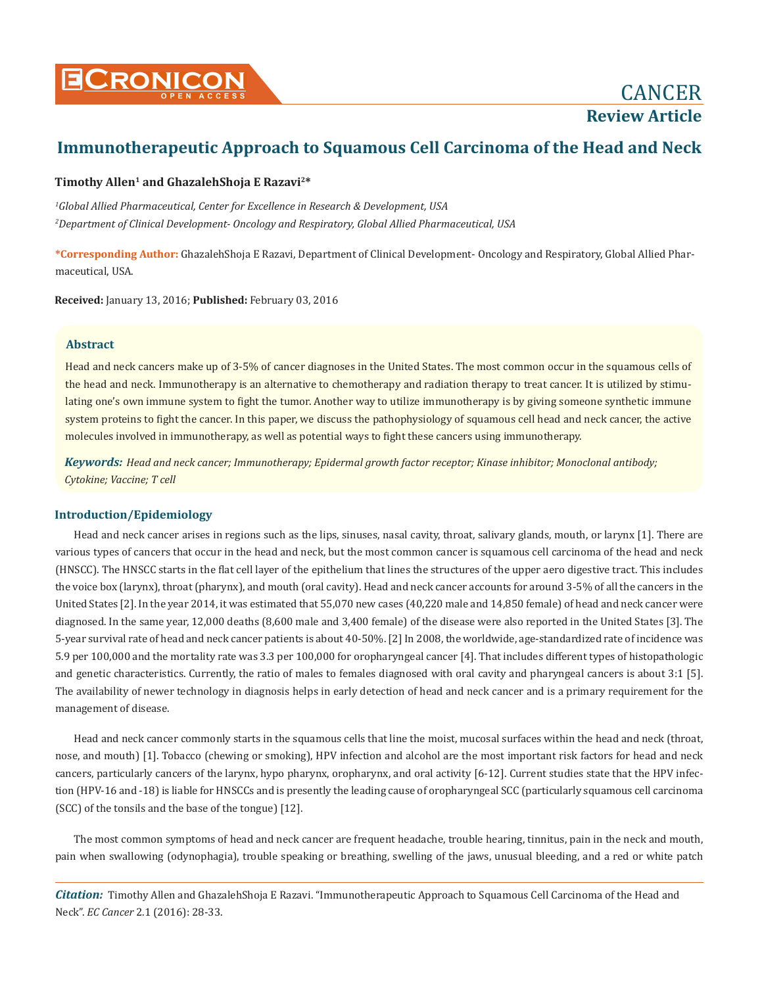

**Review Article**

# **Immunotherapeutic Approach to Squamous Cell Carcinoma of the Head and Neck**

# **Timothy Allen1 and GhazalehShoja E Razavi2\***

*1 Global Allied Pharmaceutical, Center for Excellence in Research & Development, USA 2 Department of Clinical Development- Oncology and Respiratory, Global Allied Pharmaceutical, USA*

**\*Corresponding Author:** GhazalehShoja E Razavi, Department of Clinical Development- Oncology and Respiratory, Global Allied Pharmaceutical, USA.

**Received:** January 13, 2016; **Published:** February 03, 2016

#### **Abstract**

Head and neck cancers make up of 3-5% of cancer diagnoses in the United States. The most common occur in the squamous cells of the head and neck. Immunotherapy is an alternative to chemotherapy and radiation therapy to treat cancer. It is utilized by stimulating one's own immune system to fight the tumor. Another way to utilize immunotherapy is by giving someone synthetic immune system proteins to fight the cancer. In this paper, we discuss the pathophysiology of squamous cell head and neck cancer, the active molecules involved in immunotherapy, as well as potential ways to fight these cancers using immunotherapy.

*Keywords: Head and neck cancer; Immunotherapy; Epidermal growth factor receptor; Kinase inhibitor; Monoclonal antibody; Cytokine; Vaccine; T cell*

#### **Introduction/Epidemiology**

Head and neck cancer arises in regions such as the lips, sinuses, nasal cavity, throat, salivary glands, mouth, or larynx [1]. There are various types of cancers that occur in the head and neck, but the most common cancer is squamous cell carcinoma of the head and neck (HNSCC). The HNSCC starts in the flat cell layer of the epithelium that lines the structures of the upper aero digestive tract. This includes the voice box (larynx), throat (pharynx), and mouth (oral cavity). Head and neck cancer accounts for around 3-5% of all the cancers in the United States [2]. In the year 2014, it was estimated that 55,070 new cases (40,220 male and 14,850 female) of head and neck cancer were diagnosed. In the same year, 12,000 deaths (8,600 male and 3,400 female) of the disease were also reported in the United States [3]. The 5-year survival rate of head and neck cancer patients is about 40-50%. [2] In 2008, the worldwide, age-standardized rate of incidence was 5.9 per 100,000 and the mortality rate was 3.3 per 100,000 for oropharyngeal cancer [4]. That includes different types of histopathologic and genetic characteristics. Currently, the ratio of males to females diagnosed with oral cavity and pharyngeal cancers is about 3:1 [5]. The availability of newer technology in diagnosis helps in early detection of head and neck cancer and is a primary requirement for the management of disease.

Head and neck cancer commonly starts in the squamous cells that line the moist, mucosal surfaces within the head and neck (throat, nose, and mouth) [1]. Tobacco (chewing or smoking), HPV infection and alcohol are the most important risk factors for head and neck cancers, particularly cancers of the larynx, hypo pharynx, oropharynx, and oral activity [6-12]. Current studies state that the HPV infection (HPV-16 and -18) is liable for HNSCCs and is presently the leading cause of oropharyngeal SCC (particularly squamous cell carcinoma (SCC) of the tonsils and the base of the tongue) [12].

The most common symptoms of head and neck cancer are frequent headache, trouble hearing, tinnitus, pain in the neck and mouth, pain when swallowing (odynophagia), trouble speaking or breathing, swelling of the jaws, unusual bleeding, and a red or white patch

*Citation:* Timothy Allen and GhazalehShoja E Razavi. "Immunotherapeutic Approach to Squamous Cell Carcinoma of the Head and Neck". *EC Cancer* 2.1 (2016): 28-33.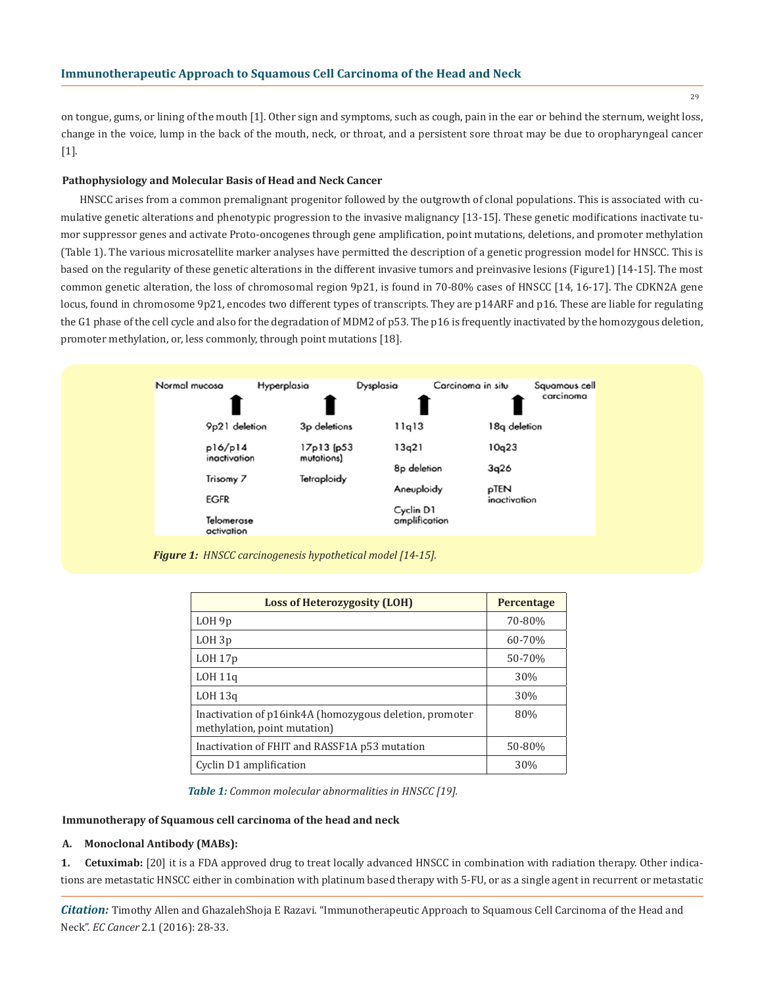on tongue, gums, or lining of the mouth [1]. Other sign and symptoms, such as cough, pain in the ear or behind the sternum, weight loss, change in the voice, lump in the back of the mouth, neck, or throat, and a persistent sore throat may be due to oropharyngeal cancer [1].

#### **Pathophysiology and Molecular Basis of Head and Neck Cancer**

HNSCC arises from a common premalignant progenitor followed by the outgrowth of clonal populations. This is associated with cumulative genetic alterations and phenotypic progression to the invasive malignancy [13-15]. These genetic modifications inactivate tumor suppressor genes and activate Proto-oncogenes through gene amplification, point mutations, deletions, and promoter methylation (Table 1). The various microsatellite marker analyses have permitted the description of a genetic progression model for HNSCC. This is based on the regularity of these genetic alterations in the different invasive tumors and preinvasive lesions (Figure1) [14-15]. The most common genetic alteration, the loss of chromosomal region 9p21, is found in 70-80% cases of HNSCC [14, 16-17]. The CDKN2A gene locus, found in chromosome 9p21, encodes two different types of transcripts. They are p14ARF and p16. These are liable for regulating the G1 phase of the cell cycle and also for the degradation of MDM2 of p53. The p16 is frequently inactivated by the homozygous deletion, promoter methylation, or, less commonly, through point mutations [18].



*Figure 1: HNSCC carcinogenesis hypothetical model [14-15].*

| <b>Loss of Heterozygosity (LOH)</b>                                                     | <b>Percentage</b> |
|-----------------------------------------------------------------------------------------|-------------------|
| LOH9p                                                                                   | 70-80%            |
| $LOH_3p$                                                                                | 60-70%            |
| LOH17p                                                                                  | 50-70%            |
| LOH11q                                                                                  | 30%               |
| $LOH$ 13 $q$                                                                            | 30%               |
| Inactivation of p16ink4A (homozygous deletion, promoter<br>methylation, point mutation) | 80%               |
| Inactivation of FHIT and RASSF1A p53 mutation                                           | 50-80%            |
| Cyclin D1 amplification                                                                 | 30%               |

*Table 1: Common molecular abnormalities in HNSCC [19].*

## **Immunotherapy of Squamous cell carcinoma of the head and neck**

## **A. Monoclonal Antibody (MABs):**

**1. Cetuximab:** [20] it is a FDA approved drug to treat locally advanced HNSCC in combination with radiation therapy. Other indications are metastatic HNSCC either in combination with platinum based therapy with 5-FU, or as a single agent in recurrent or metastatic

*Citation:* Timothy Allen and GhazalehShoja E Razavi. "Immunotherapeutic Approach to Squamous Cell Carcinoma of the Head and Neck". *EC Cancer* 2.1 (2016): 28-33.

29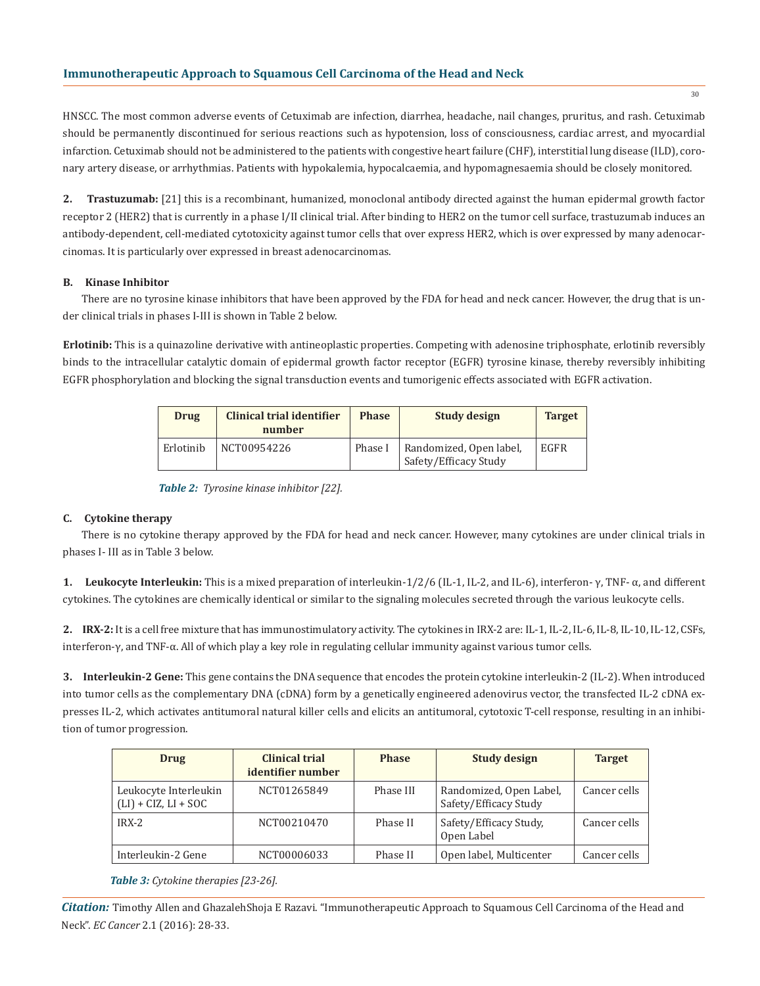# **Immunotherapeutic Approach to Squamous Cell Carcinoma of the Head and Neck**

HNSCC. The most common adverse events of Cetuximab are infection, diarrhea, headache, nail changes, pruritus, and rash. Cetuximab should be permanently discontinued for serious reactions such as hypotension, loss of consciousness, cardiac arrest, and myocardial infarction. Cetuximab should not be administered to the patients with congestive heart failure (CHF), interstitial lung disease (ILD), coronary artery disease, or arrhythmias. Patients with hypokalemia, hypocalcaemia, and hypomagnesaemia should be closely monitored.

**2. Trastuzumab:** [21] this is a recombinant, humanized, monoclonal antibody directed against the human epidermal growth factor receptor 2 (HER2) that is currently in a phase I/II clinical trial. After binding to HER2 on the tumor cell surface, trastuzumab induces an antibody-dependent, cell-mediated cytotoxicity against tumor cells that over express HER2, which is over expressed by many adenocarcinomas. It is particularly over expressed in breast adenocarcinomas.

## **B. Kinase Inhibitor**

There are no tyrosine kinase inhibitors that have been approved by the FDA for head and neck cancer. However, the drug that is under clinical trials in phases I-III is shown in Table 2 below.

**Erlotinib:** This is a quinazoline derivative with antineoplastic properties. Competing with adenosine triphosphate, erlotinib reversibly binds to the intracellular catalytic domain of epidermal growth factor receptor (EGFR) tyrosine kinase, thereby reversibly inhibiting EGFR phosphorylation and blocking the signal transduction events and tumorigenic effects associated with EGFR activation.

| <b>Drug</b> | <b>Clinical trial identifier</b><br>number | <b>Phase</b> | <b>Study design</b>                              | <b>Target</b> |
|-------------|--------------------------------------------|--------------|--------------------------------------------------|---------------|
| Erlotinib   | NCT00954226                                | Phase I      | Randomized, Open label,<br>Safety/Efficacy Study | <b>EGFR</b>   |

*Table 2: Tyrosine kinase inhibitor [22].*

## **C. Cytokine therapy**

There is no cytokine therapy approved by the FDA for head and neck cancer. However, many cytokines are under clinical trials in phases I- III as in Table 3 below.

**1. Leukocyte Interleukin:** This is a mixed preparation of interleukin-1/2/6 (IL-1, IL-2, and IL-6), interferon- γ, TNF- α, and different cytokines. The cytokines are chemically identical or similar to the signaling molecules secreted through the various leukocyte cells.

**2. IRX-2:** It is a cell free mixture that has immunostimulatory activity. The cytokines in IRX-2 are: IL-1, IL-2, IL-6, IL-8, IL-10, IL-12, CSFs, interferon-γ, and TNF-α. All of which play a key role in regulating cellular immunity against various tumor cells.

**3. Interleukin-2 Gene:** This gene contains the DNA sequence that encodes the protein cytokine interleukin-2 (IL-2). When introduced into tumor cells as the complementary DNA (cDNA) form by a genetically engineered adenovirus vector, the transfected IL-2 cDNA expresses IL-2, which activates antitumoral natural killer cells and elicits an antitumoral, cytotoxic T-cell response, resulting in an inhibition of tumor progression.

| Drug                                            | <b>Clinical trial</b><br>identifier number | <b>Phase</b> | <b>Study design</b>                              | <b>Target</b> |
|-------------------------------------------------|--------------------------------------------|--------------|--------------------------------------------------|---------------|
| Leukocyte Interleukin<br>$(LI) + CIZ, LI + SOC$ | NCT01265849                                | Phase III    | Randomized, Open Label,<br>Safety/Efficacy Study | Cancer cells  |
| $IRX-2$                                         | NCT00210470                                | Phase II     | Safety/Efficacy Study,<br>Open Label             | Cancer cells  |
| Interleukin-2 Gene                              | NCT00006033                                | Phase II     | Open label, Multicenter                          | Cancer cells  |

*Table 3: Cytokine therapies [23-26].*

*Citation:* Timothy Allen and GhazalehShoja E Razavi. "Immunotherapeutic Approach to Squamous Cell Carcinoma of the Head and Neck". *EC Cancer* 2.1 (2016): 28-33.

30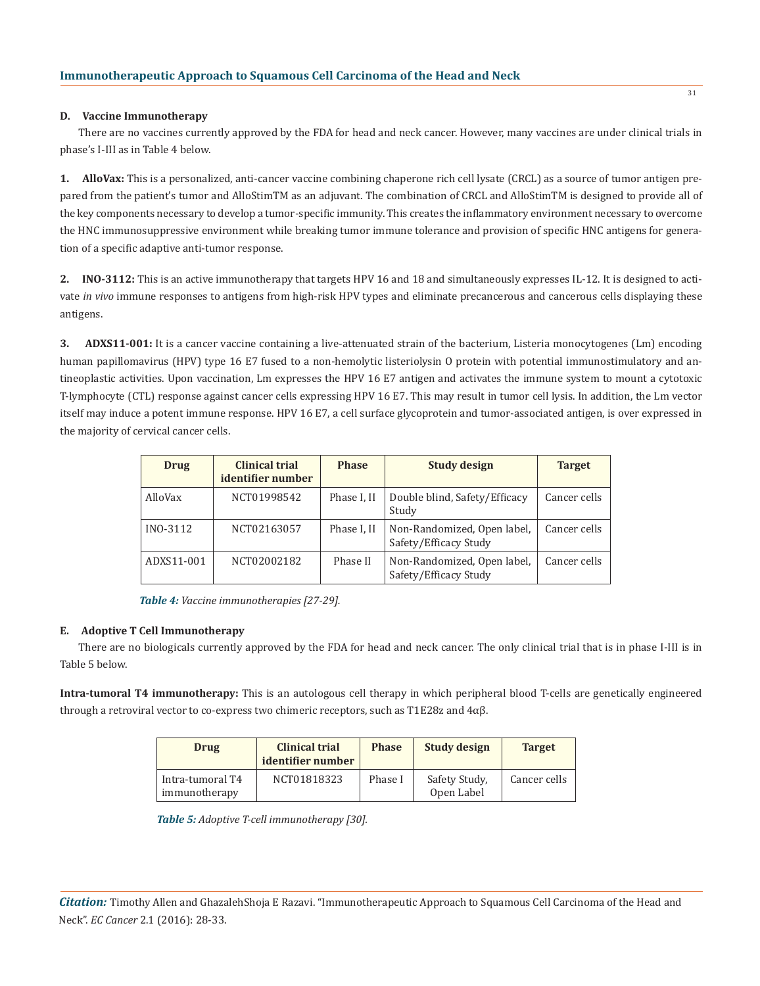## **D. Vaccine Immunotherapy**

There are no vaccines currently approved by the FDA for head and neck cancer. However, many vaccines are under clinical trials in phase's I-III as in Table 4 below.

**1. AlloVax:** This is a personalized, anti-cancer vaccine combining chaperone rich cell lysate (CRCL) as a source of tumor antigen prepared from the patient's tumor and AlloStimTM as an adjuvant. The combination of CRCL and AlloStimTM is designed to provide all of the key components necessary to develop a tumor-specific immunity. This creates the inflammatory environment necessary to overcome the HNC immunosuppressive environment while breaking tumor immune tolerance and provision of specific HNC antigens for generation of a specific adaptive anti-tumor response.

**2. INO-3112:** This is an active immunotherapy that targets HPV 16 and 18 and simultaneously expresses IL-12. It is designed to activate *in vivo* immune responses to antigens from high-risk HPV types and eliminate precancerous and cancerous cells displaying these antigens.

**3. ADXS11-001:** It is a cancer vaccine containing a live-attenuated strain of the bacterium, Listeria monocytogenes (Lm) encoding human papillomavirus (HPV) type 16 E7 fused to a non-hemolytic listeriolysin O protein with potential immunostimulatory and antineoplastic activities. Upon vaccination, Lm expresses the HPV 16 E7 antigen and activates the immune system to mount a cytotoxic T-lymphocyte (CTL) response against cancer cells expressing HPV 16 E7. This may result in tumor cell lysis. In addition, the Lm vector itself may induce a potent immune response. HPV 16 E7, a cell surface glycoprotein and tumor-associated antigen, is over expressed in the majority of cervical cancer cells.

| <b>Drug</b> | Clinical trial<br>identifier number | <b>Phase</b> | <b>Study design</b>                                  | <b>Target</b> |
|-------------|-------------------------------------|--------------|------------------------------------------------------|---------------|
| AlloVax     | NCT01998542                         | Phase I, II  | Double blind, Safety/Efficacy<br>Study               | Cancer cells  |
| INO-3112    | NCT02163057                         | Phase I, II  | Non-Randomized, Open label,<br>Safety/Efficacy Study | Cancer cells  |
| ADXS11-001  | NCT02002182                         | Phase II     | Non-Randomized, Open label,<br>Safety/Efficacy Study | Cancer cells  |

*Table 4: Vaccine immunotherapies [27-29].*

# **E. Adoptive T Cell Immunotherapy**

There are no biologicals currently approved by the FDA for head and neck cancer. The only clinical trial that is in phase I-III is in Table 5 below.

**Intra-tumoral T4 immunotherapy:** This is an autologous cell therapy in which peripheral blood T-cells are genetically engineered through a retroviral vector to co-express two chimeric receptors, such as T1E28z and 4αβ.

| <b>Drug</b>                       | <b>Clinical trial</b><br>identifier number | <b>Phase</b> | <b>Study design</b>         | <b>Target</b> |
|-----------------------------------|--------------------------------------------|--------------|-----------------------------|---------------|
| Intra-tumoral T4<br>immunotherapy | NCT01818323                                | Phase I      | Safety Study,<br>Open Label | Cancer cells  |

| Table 5: Adoptive T-cell immunotherapy [30]. |  |  |  |
|----------------------------------------------|--|--|--|
|----------------------------------------------|--|--|--|

31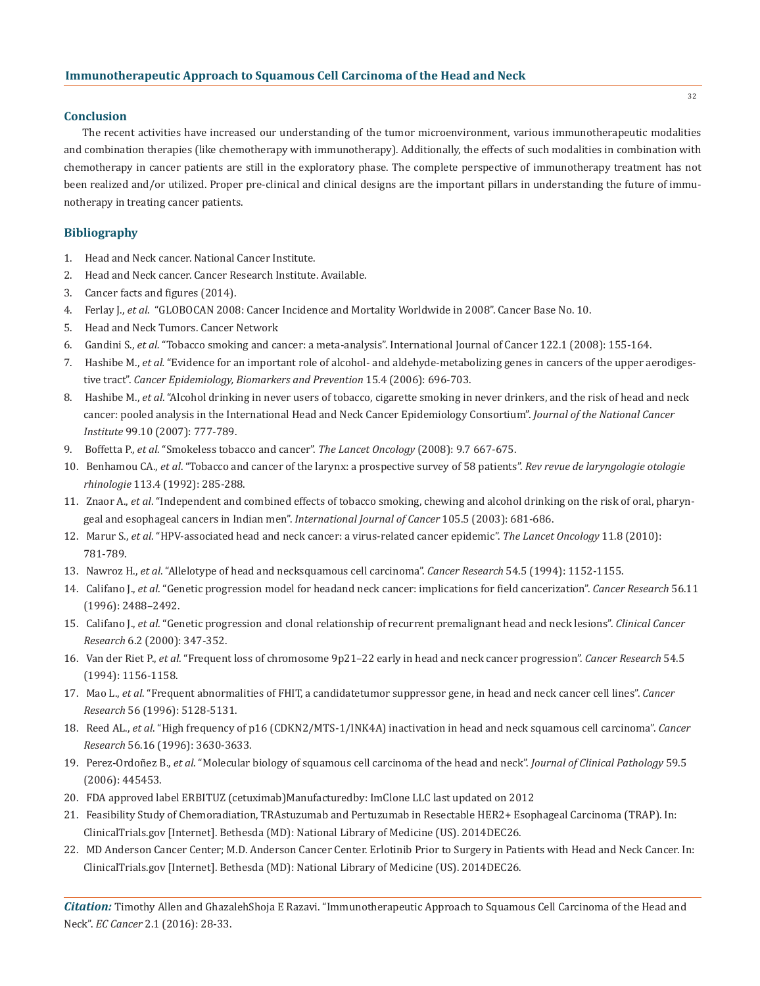## **Conclusion**

The recent activities have increased our understanding of the tumor microenvironment, various immunotherapeutic modalities and combination therapies (like chemotherapy with immunotherapy). Additionally, the effects of such modalities in combination with chemotherapy in cancer patients are still in the exploratory phase. The complete perspective of immunotherapy treatment has not been realized and/or utilized. Proper pre-clinical and clinical designs are the important pillars in understanding the future of immunotherapy in treating cancer patients.

# **Bibliography**

- 1. Head and Neck cancer. National Cancer Institute.
- 2. Head and Neck cancer. Cancer Research Institute. Available.
- 3. Cancer facts and figures (2014).
- 4. Ferlay J., *et al*. "GLOBOCAN 2008: Cancer Incidence and Mortality Worldwide in 2008". Cancer Base No. 10.
- 5. Head and Neck Tumors. Cancer Network
- 6. Gandini S., *et al.* "Tobacco smoking and cancer: a meta-analysis". International Journal of Cancer 122.1 (2008): 155-164.
- 7. Hashibe M., *et al.* "Evidence for an important role of alcohol- and aldehyde-metabolizing genes in cancers of the upper aerodiges tive tract". *Cancer Epidemiology, Biomarkers and Prevention* 15.4 (2006): 696-703.
- 8. Hashibe M., *et al*. "Alcohol drinking in never users of tobacco, cigarette smoking in never drinkers, and the risk of head and neck cancer: pooled analysis in the International Head and Neck Cancer Epidemiology Consortium". *Journal of the National Cancer Institute* 99.10 (2007): 777-789.
- 9. Boffetta P., *et al*. "Smokeless tobacco and cancer". *The Lancet Oncology* (2008): 9.7 667-675.
- 10. Benhamou CA., *et al*. "Tobacco and cancer of the larynx: a prospective survey of 58 patients". *Rev revue de laryngologie otologie rhinologie* 113.4 (1992): 285-288.
- 11. Znaor A., *et al*. "Independent and combined effects of tobacco smoking, chewing and alcohol drinking on the risk of oral, pharyn geal and esophageal cancers in Indian men". *International Journal of Cancer* 105.5 (2003): 681-686.
- 12. Marur S., *et al*. "HPV-associated head and neck cancer: a virus-related cancer epidemic". *The Lancet Oncology* 11.8 (2010): 781-789.
- 13. Nawroz H., *et al*. "Allelotype of head and necksquamous cell carcinoma". *Cancer Research* 54.5 (1994): 1152-1155.
- 14. Califano J., *et al*. "Genetic progression model for headand neck cancer: implications for field cancerization". *Cancer Research* 56.11 (1996): 2488–2492.
- 15. Califano J., *et al*. "Genetic progression and clonal relationship of recurrent premalignant head and neck lesions". *Clinical Cancer Research* 6.2 (2000): 347-352.
- 16. Van der Riet P., *et al*. "Frequent loss of chromosome 9p21–22 early in head and neck cancer progression". *Cancer Research* 54.5 (1994): 1156-1158.
- 17. Mao L., *et al*. "Frequent abnormalities of FHIT, a candidatetumor suppressor gene, in head and neck cancer cell lines". *Cancer Research* 56 (1996): 5128-5131.
- 18. Reed AL., *et al*. "High frequency of p16 (CDKN2/MTS-1/INK4A) inactivation in head and neck squamous cell carcinoma". *Cancer Research* 56.16 (1996): 3630-3633.
- 19. Perez-Ordoñez B., *et al*. "Molecular biology of squamous cell carcinoma of the head and neck". *Journal of Clinical Pathology* 59.5 (2006): 445453.
- 20. FDA approved label ERBITUZ (cetuximab)Manufacturedby: ImClone LLC last updated on 2012
- 21. Feasibility Study of Chemoradiation, TRAstuzumab and Pertuzumab in Resectable HER2+ Esophageal Carcinoma (TRAP). In: ClinicalTrials.gov [Internet]. Bethesda (MD): National Library of Medicine (US). 2014DEC26.
- 22. MD Anderson Cancer Center; M.D. Anderson Cancer Center. Erlotinib Prior to Surgery in Patients with Head and Neck Cancer. In: ClinicalTrials.gov [Internet]. Bethesda (MD): National Library of Medicine (US). 2014DEC26.

*Citation:* Timothy Allen and GhazalehShoja E Razavi. "Immunotherapeutic Approach to Squamous Cell Carcinoma of the Head and Neck". *EC Cancer* 2.1 (2016): 28-33.